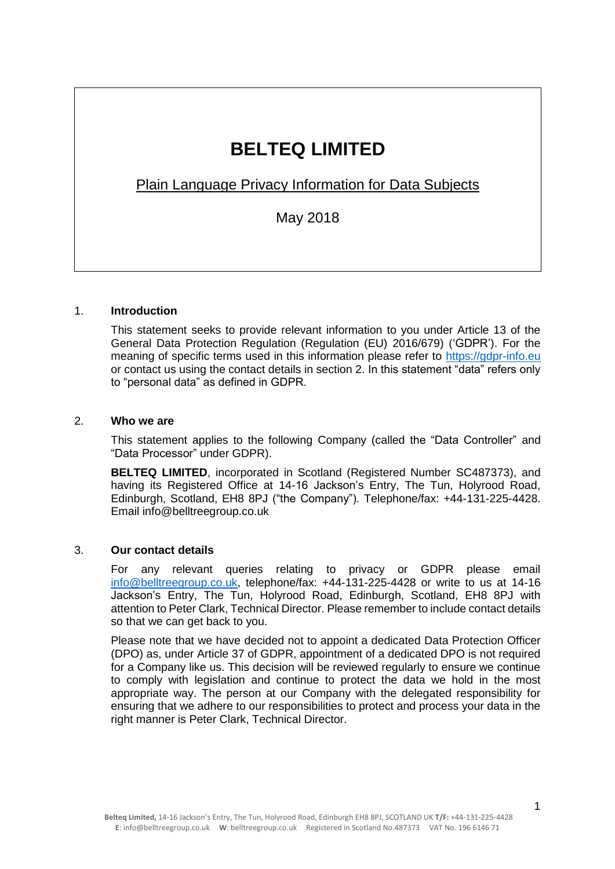# **BELTEQ LIMITED**

Plain Language Privacy Information for Data Subjects

May 2018

# 1. **Introduction**

This statement seeks to provide relevant information to you under Article 13 of the General Data Protection Regulation (Regulation (EU) 2016/679) ('GDPR'). For the meaning of specific terms used in this information please refer to [https://gdpr-info.eu](https://gdpr-info.eu/) or contact us using the contact details in section 2. In this statement "data" refers only to "personal data" as defined in GDPR.

# 2. **Who we are**

This statement applies to the following Company (called the "Data Controller" and "Data Processor" under GDPR).

**BELTEQ LIMITED**, incorporated in Scotland (Registered Number SC487373), and having its Registered Office at 14-16 Jackson's Entry, The Tun, Holyrood Road, Edinburgh, Scotland, EH8 8PJ ("the Company"). Telephone/fax: +44-131-225-4428. Email info@belltreegroup.co.uk

# 3. **Our contact details**

For any relevant queries relating to privacy or GDPR please email [info@belltreegroup.co.uk,](mailto:info@belltreegroup.co.uk) telephone/fax: +44-131-225-4428 or write to us at 14-16 Jackson's Entry, The Tun, Holyrood Road, Edinburgh, Scotland, EH8 8PJ with attention to Peter Clark, Technical Director. Please remember to include contact details so that we can get back to you.

Please note that we have decided not to appoint a dedicated Data Protection Officer (DPO) as, under Article 37 of GDPR, appointment of a dedicated DPO is not required for a Company like us. This decision will be reviewed regularly to ensure we continue to comply with legislation and continue to protect the data we hold in the most appropriate way. The person at our Company with the delegated responsibility for ensuring that we adhere to our responsibilities to protect and process your data in the right manner is Peter Clark, Technical Director.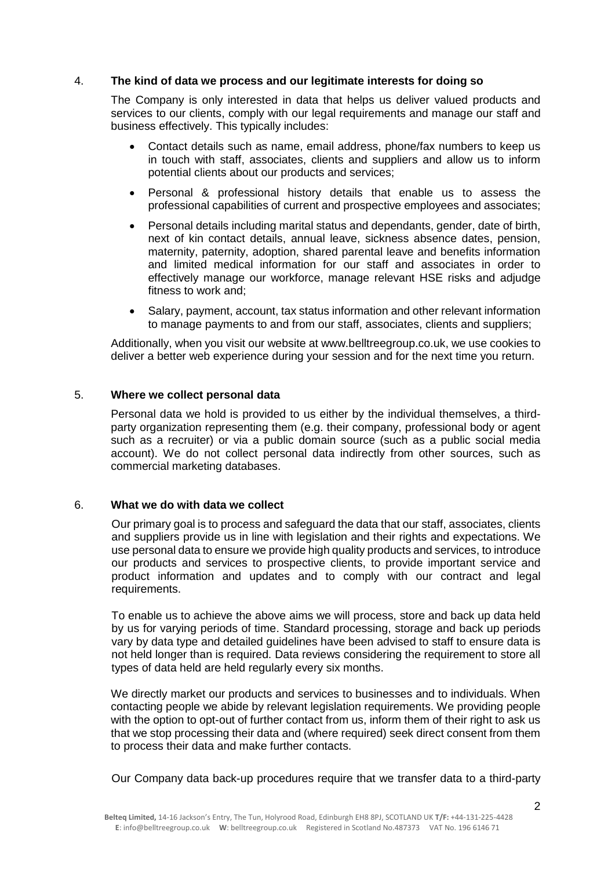## 4. **The kind of data we process and our legitimate interests for doing so**

The Company is only interested in data that helps us deliver valued products and services to our clients, comply with our legal requirements and manage our staff and business effectively. This typically includes:

- Contact details such as name, email address, phone/fax numbers to keep us in touch with staff, associates, clients and suppliers and allow us to inform potential clients about our products and services;
- Personal & professional history details that enable us to assess the professional capabilities of current and prospective employees and associates;
- Personal details including marital status and dependants, gender, date of birth, next of kin contact details, annual leave, sickness absence dates, pension, maternity, paternity, adoption, shared parental leave and benefits information and limited medical information for our staff and associates in order to effectively manage our workforce, manage relevant HSE risks and adjudge fitness to work and;
- Salary, payment, account, tax status information and other relevant information to manage payments to and from our staff, associates, clients and suppliers;

Additionally, when you visit our website at www.belltreegroup.co.uk, we use cookies to deliver a better web experience during your session and for the next time you return.

## 5. **Where we collect personal data**

Personal data we hold is provided to us either by the individual themselves, a thirdparty organization representing them (e.g. their company, professional body or agent such as a recruiter) or via a public domain source (such as a public social media account). We do not collect personal data indirectly from other sources, such as commercial marketing databases.

## 6. **What we do with data we collect**

Our primary goal is to process and safeguard the data that our staff, associates, clients and suppliers provide us in line with legislation and their rights and expectations. We use personal data to ensure we provide high quality products and services, to introduce our products and services to prospective clients, to provide important service and product information and updates and to comply with our contract and legal requirements.

To enable us to achieve the above aims we will process, store and back up data held by us for varying periods of time. Standard processing, storage and back up periods vary by data type and detailed guidelines have been advised to staff to ensure data is not held longer than is required. Data reviews considering the requirement to store all types of data held are held regularly every six months.

We directly market our products and services to businesses and to individuals. When contacting people we abide by relevant legislation requirements. We providing people with the option to opt-out of further contact from us, inform them of their right to ask us that we stop processing their data and (where required) seek direct consent from them to process their data and make further contacts.

Our Company data back-up procedures require that we transfer data to a third-party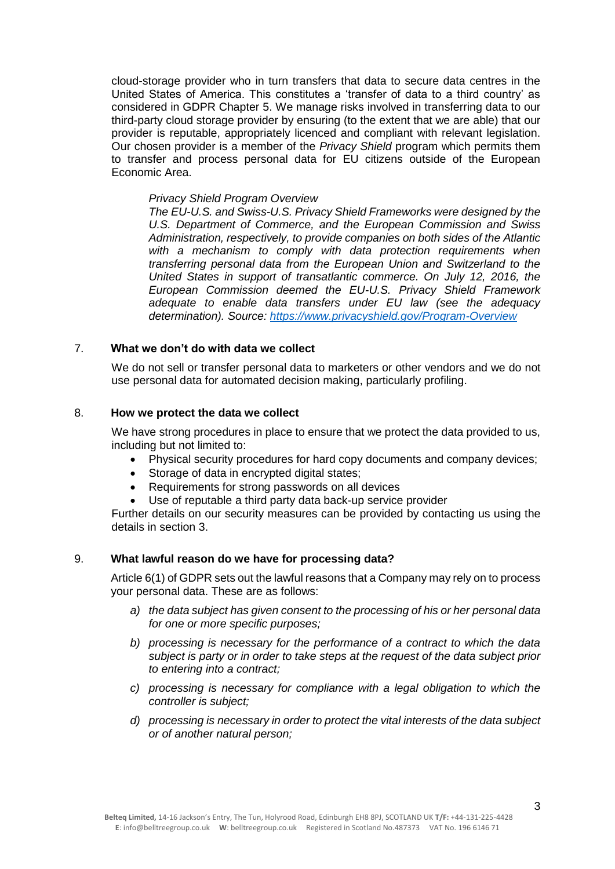cloud-storage provider who in turn transfers that data to secure data centres in the United States of America. This constitutes a 'transfer of data to a third country' as considered in GDPR Chapter 5. We manage risks involved in transferring data to our third-party cloud storage provider by ensuring (to the extent that we are able) that our provider is reputable, appropriately licenced and compliant with relevant legislation. Our chosen provider is a member of the *Privacy Shield* program which permits them to transfer and process personal data for EU citizens outside of the European Economic Area.

#### *Privacy Shield Program Overview*

*The EU-U.S. and Swiss-U.S. Privacy Shield Frameworks were designed by the U.S. Department of Commerce, and the European Commission and Swiss Administration, respectively, to provide companies on both sides of the Atlantic with a mechanism to comply with data protection requirements when transferring personal data from the European Union and Switzerland to the United States in support of transatlantic commerce. On July 12, 2016, the European Commission deemed the EU-U.S. Privacy Shield Framework adequate to enable data transfers under EU law (see the adequacy determination). Source:<https://www.privacyshield.gov/Program-Overview>*

# 7. **What we don't do with data we collect**

We do not sell or transfer personal data to marketers or other vendors and we do not use personal data for automated decision making, particularly profiling.

## 8. **How we protect the data we collect**

We have strong procedures in place to ensure that we protect the data provided to us, including but not limited to:

- Physical security procedures for hard copy documents and company devices;
- Storage of data in encrypted digital states;
- Requirements for strong passwords on all devices
- Use of reputable a third party data back-up service provider

Further details on our security measures can be provided by contacting us using the details in section 3.

#### 9. **What lawful reason do we have for processing data?**

[Article 6\(](https://gdpr-info.eu/art-6-gdpr/)1) of GDPR sets out the lawful reasons that a Company may rely on to process your personal data. These are as follows:

- *a) the data subject has given consent to the processing of his or her personal data for one or more specific purposes;*
- *b) processing is necessary for the performance of a contract to which the data subject is party or in order to take steps at the request of the data subject prior to entering into a contract;*
- *c) processing is necessary for compliance with a legal obligation to which the controller is subject;*
- *d) processing is necessary in order to protect the vital interests of the data subject or of another natural person;*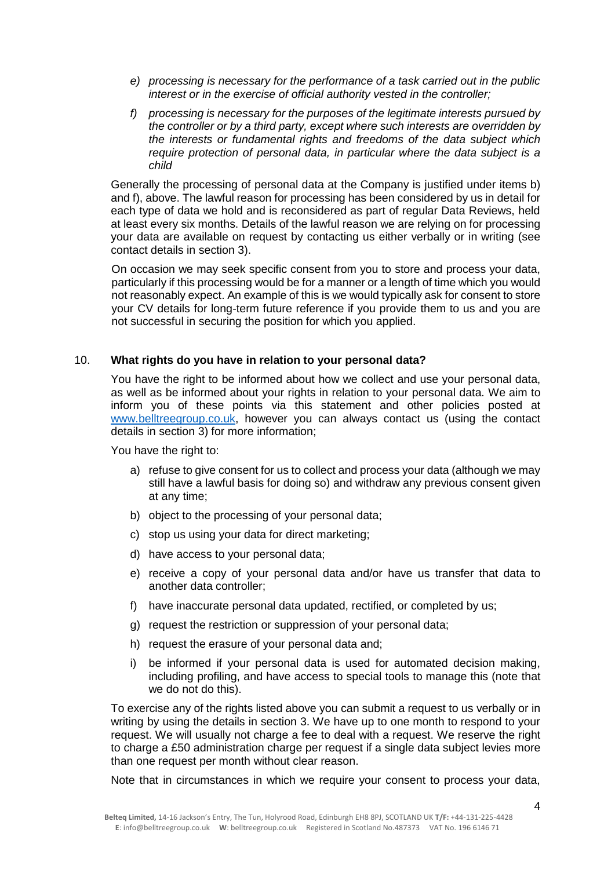- *e) processing is necessary for the performance of a task carried out in the public interest or in the exercise of official authority vested in the controller;*
- *f) processing is necessary for the purposes of the legitimate interests pursued by the controller or by a third party, except where such interests are overridden by the interests or fundamental rights and freedoms of the data subject which require protection of personal data, in particular where the data subject is a child*

Generally the processing of personal data at the Company is justified under items b) and f), above. The lawful reason for processing has been considered by us in detail for each type of data we hold and is reconsidered as part of regular Data Reviews, held at least every six months. Details of the lawful reason we are relying on for processing your data are available on request by contacting us either verbally or in writing (see contact details in section 3).

On occasion we may seek specific consent from you to store and process your data, particularly if this processing would be for a manner or a length of time which you would not reasonably expect. An example of this is we would typically ask for consent to store your CV details for long-term future reference if you provide them to us and you are not successful in securing the position for which you applied.

## 10. **What rights do you have in relation to your personal data?**

You have the right to be informed about how we collect and use your personal data. as well as be informed about your rights in relation to your personal data. We aim to inform you of these points via this statement and other policies posted at [www.belltreegroup.co.uk,](http://www.belltreegroup.co.uk/) however you can always contact us (using the contact details in section 3) for more information;

You have the right to:

- a) refuse to give consent for us to collect and process your data (although we may still have a lawful basis for doing so) and withdraw any previous consent given at any time;
- b) object to the processing of your personal data;
- c) stop us using your data for direct marketing;
- d) have access to your personal data;
- e) receive a copy of your personal data and/or have us transfer that data to another data controller;
- f) have inaccurate personal data updated, rectified, or completed by us;
- g) request the restriction or suppression of your personal data;
- h) request the erasure of your personal data and;
- i) be informed if your personal data is used for automated decision making, including profiling, and have access to special tools to manage this (note that we do not do this).

To exercise any of the rights listed above you can submit a request to us verbally or in writing by using the details in section 3. We have up to one month to respond to your request. We will usually not charge a fee to deal with a request. We reserve the right to charge a £50 administration charge per request if a single data subject levies more than one request per month without clear reason.

Note that in circumstances in which we require your consent to process your data,